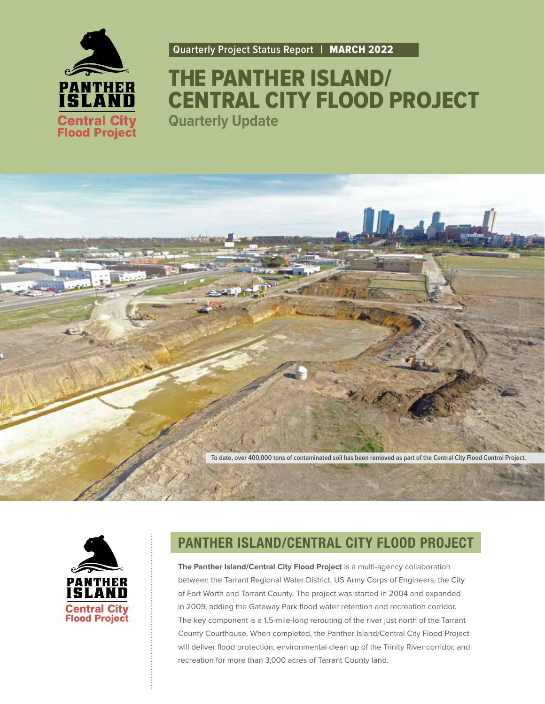

**Quarterly Project Status Report |** MARCH 2022

## THE PANTHER ISLAND/ CENTRAL CITY FLOOD PROJECT **Quarterly Update**

**To date, over 400,000 tons of contaminated soil has been removed as part of the Central City Flood Control Project.**



#### **PANTHER ISLAND/CENTRAL CITY FLOOD PROJECT**

**The Panther Island/Central City Flood Project** is a multi-agency collaboration between the Tarrant Regional Water District, US Army Corps of Engineers, the City of Fort Worth and Tarrant County. The project was started in 2004 and expanded in 2009, adding the Gateway Park flood water retention and recreation corridor. The key component is a 1.5-mile-long rerouting of the river just north of the Tarrant County Courthouse. When completed, the Panther Island/Central City Flood Project will deliver flood protection, environmental clean up of the Trinity River corridor, and recreation for more than 3,000 acres of Tarrant County land.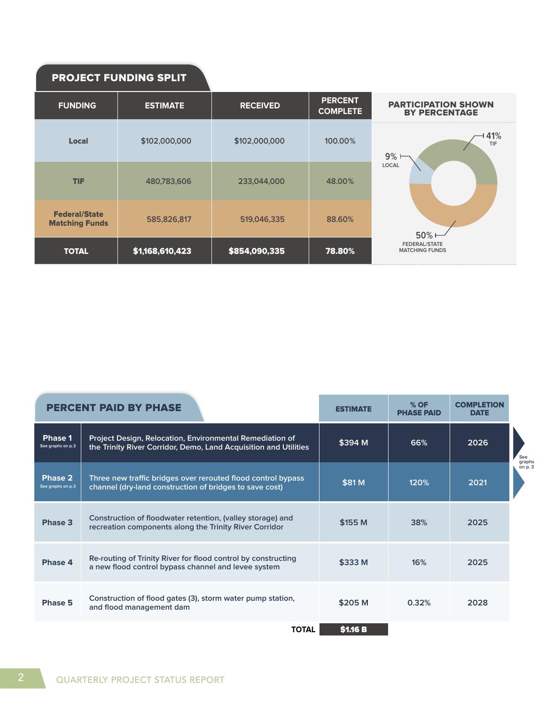#### PROJECT FUNDING SPLIT

| <b>FUNDING</b>                                | <b>ESTIMATE</b> | <b>RECEIVED</b> | <b>PERCENT</b><br><b>COMPLETE</b> | <b>PARTICIPATION SHOWN</b><br><b>BY PERCENTAGE</b> |
|-----------------------------------------------|-----------------|-----------------|-----------------------------------|----------------------------------------------------|
| <b>Local</b>                                  | \$102,000,000   | \$102,000,000   | 100.00%                           | 41%<br>TIF<br>9%                                   |
| <b>TIF</b>                                    | 480,783,606     | 233,044,000     | 48.00%                            | <b>LOCAL</b>                                       |
| <b>Federal/State</b><br><b>Matching Funds</b> | 585,826,817     | 519,046,335     | 88.60%                            | 50%                                                |
| <b>TOTAL</b>                                  | \$1,168,610,423 | \$854,090,335   | 78.80%                            | <b>FEDERAL/STATE</b><br><b>MATCHING FUNDS</b>      |

|                              | <b>PERCENT PAID BY PHASE</b>                                                                                                 | <b>ESTIMATE</b> | $%$ OF<br><b>PHASE PAID</b> | <b>COMPLETION</b><br><b>DATE</b> |                    |
|------------------------------|------------------------------------------------------------------------------------------------------------------------------|-----------------|-----------------------------|----------------------------------|--------------------|
| Phase 1<br>See graphs on p.3 | Project Design, Relocation, Environmental Remediation of<br>the Trinity River Corridor, Demo, Land Acquisition and Utilities | \$394 M         | 66%                         | 2026                             | See                |
| Phase 2<br>See graphs on p.3 | Three new traffic bridges over rerouted flood control bypass<br>channel (dry-land construction of bridges to save cost)      | \$81 M          | 120%                        | 2021                             | graphs<br>on $p.3$ |
| Phase 3                      | Construction of floodwater retention, (valley storage) and<br>recreation components along the Trinity River Corridor         | \$155 M         | 38%                         | 2025                             |                    |
| Phase 4                      | Re-routing of Trinity River for flood control by constructing<br>a new flood control bypass channel and levee system         | \$333 M         | 16%                         | 2025                             |                    |
| Phase 5                      | Construction of flood gates (3), storm water pump station,<br>and flood management dam                                       | \$205 M         | 0.32%                       | 2028                             |                    |
|                              | TOTAL                                                                                                                        | <b>\$1.16 B</b> |                             |                                  |                    |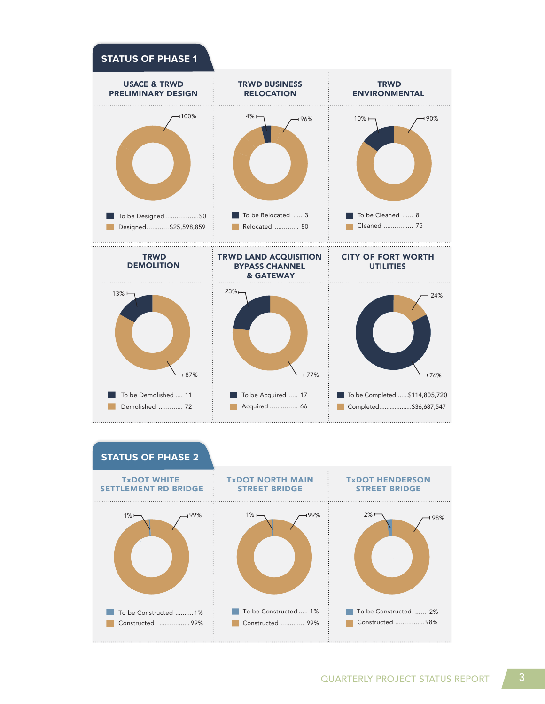

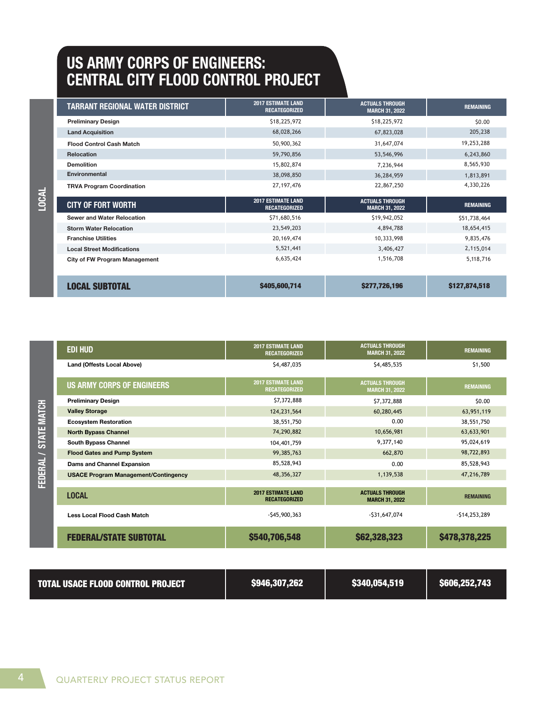### **US ARMY CORPS OF ENGINEERS: CENTRAL CITY FLOOD CONTROL PROJECT**

| TARRANT REGIONAL WATER DISTRICT      | <b>2017 ESTIMATE LAND</b><br><b>RECATEGORIZED</b> | <b>ACTUALS THROUGH</b><br><b>MARCH 31, 2022</b> | <b>REMAINING</b> |
|--------------------------------------|---------------------------------------------------|-------------------------------------------------|------------------|
| <b>Preliminary Design</b>            | \$18,225,972                                      | \$18,225,972                                    | \$0.00           |
| <b>Land Acquisition</b>              | 68,028,266                                        | 67,823,028                                      | 205,238          |
| <b>Flood Control Cash Match</b>      | 50,900,362                                        | 31,647,074                                      | 19,253,288       |
| <b>Relocation</b>                    | 59,790,856                                        | 53,546,996                                      | 6,243,860        |
| <b>Demolition</b>                    | 15,802,874                                        | 7,236,944                                       | 8,565,930        |
| <b>Environmental</b>                 | 38,098,850                                        | 36,284,959                                      | 1,813,891        |
| <b>TRVA Program Coordination</b>     | 27, 197, 476                                      | 22,867,250                                      | 4,330,226        |
| <b>CITY OF FORT WORTH</b>            | <b>2017 ESTIMATE LAND</b><br><b>RECATEGORIZED</b> | <b>ACTUALS THROUGH</b><br><b>MARCH 31, 2022</b> | <b>REMAINING</b> |
| <b>Sewer and Water Relocation</b>    | \$71,680,516                                      | \$19,942,052                                    | \$51,738,464     |
| <b>Storm Water Relocation</b>        | 23,549,203                                        | 4,894,788                                       | 18,654,415       |
| <b>Franchise Utilities</b>           | 20, 169, 474                                      | 10,333,998                                      | 9,835,476        |
| <b>Local Street Modifications</b>    | 5,521,441                                         | 3,406,427                                       | 2,115,014        |
| <b>City of FW Program Management</b> | 6,635,424                                         | 1,516,708                                       | 5,118,716        |
|                                      |                                                   |                                                 |                  |
| LOCAL SUBTOTAL                       | \$405,600,714                                     | \$277,726,196                                   | \$127,874,518    |

| <b>TVCOT</b>       | <b>CITY OF FORT WORTH</b>                   | <b>2017 ESTIMATE LAND</b><br><b>RECATEGORIZED</b> | <b>ACTUALS THROUGH</b><br><b>MARCH 31, 2022</b> | <b>REMAINING</b> |
|--------------------|---------------------------------------------|---------------------------------------------------|-------------------------------------------------|------------------|
|                    | <b>Sewer and Water Relocation</b>           | \$71,680,516                                      | \$19,942,052                                    | \$51,738,464     |
|                    | <b>Storm Water Relocation</b>               | 23,549,203                                        | 4,894,788                                       | 18,654,415       |
|                    | <b>Franchise Utilities</b>                  | 20, 169, 474                                      | 10,333,998                                      | 9,835,476        |
|                    | <b>Local Street Modifications</b>           | 5,521,441                                         | 3,406,427                                       | 2,115,014        |
|                    | <b>City of FW Program Management</b>        | 6,635,424                                         | 1,516,708                                       | 5,118,716        |
|                    | <b>LOCAL SUBTOTAL</b>                       | \$405,600,714                                     | \$277,726,196                                   | \$127,874,518    |
|                    |                                             |                                                   |                                                 |                  |
|                    | <b>EDI HUD</b>                              | <b>2017 ESTIMATE LAND</b><br><b>RECATEGORIZED</b> | <b>ACTUALS THROUGH</b><br><b>MARCH 31, 2022</b> | <b>REMAINING</b> |
|                    | <b>Land (Offests Local Above)</b>           | \$4,487,035                                       | \$4,485,535                                     | \$1,500          |
|                    | <b>US ARMY CORPS OF ENGINEERS</b>           | <b>2017 ESTIMATE LAND</b><br><b>RECATEGORIZED</b> | <b>ACTUALS THROUGH</b><br><b>MARCH 31, 2022</b> | <b>REMAINING</b> |
|                    | <b>Preliminary Design</b>                   | \$7,372,888                                       | \$7,372,888                                     | \$0.00           |
| <b>STATE MATCH</b> | <b>Valley Storage</b>                       | 124,231,564                                       | 60,280,445                                      | 63,951,119       |
|                    | <b>Ecosystem Restoration</b>                | 38,551,750                                        | 0.00                                            | 38,551,750       |
|                    | <b>North Bypass Channel</b>                 | 74,290,882                                        | 10,656,981                                      | 63,633,901       |
|                    | South Bypass Channel                        | 104,401,759                                       | 9,377,140                                       | 95,024,619       |
|                    | <b>Flood Gates and Pump System</b>          | 99,385,763                                        | 662,870                                         | 98,722,893       |
|                    | Dams and Channel Expansion                  | 85,528,943                                        | 0.00                                            | 85,528,943       |
| FEDERAL /          | <b>USACE Program Management/Contingency</b> | 48,356,327                                        | 1,139,538                                       | 47,216,789       |
|                    | <b>LOCAL</b>                                | <b>2017 ESTIMATE LAND</b><br><b>RECATEGORIZED</b> | <b>ACTUALS THROUGH</b><br><b>MARCH 31, 2022</b> | <b>REMAINING</b> |
|                    | <b>Less Local Flood Cash Match</b>          | $-$ \$45,900,363                                  | $-531,647,074$                                  | $-514, 253, 289$ |
|                    | <b>FEDERAL/STATE SUBTOTAL</b>               | \$540,706,548                                     | \$62,328,323                                    | \$478,378,225    |

| <b>TOTAL USACE FLOOD CONTROL PROJECT</b> | \$946,307,262 | \$340,054,519 | \$606,252,743 |
|------------------------------------------|---------------|---------------|---------------|
|                                          |               |               |               |

LOCAL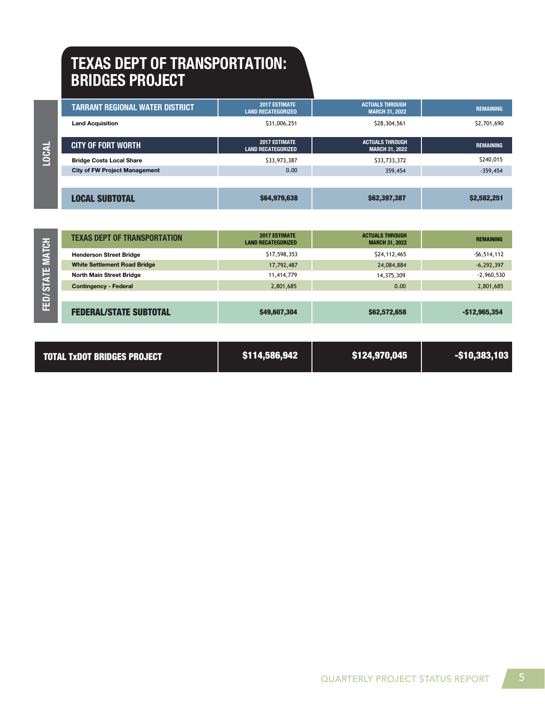### **TEXAS DEPT OF TRANSPORTATION: BRIDGES PROJECT**

**FED/ STATE MATCH LOCAL**

**LOCAL** 

| TARRANT REGIONAL WATER DISTRICT      | <b>2017 ESTIMATE</b><br><b>LAND RECATEGORIZED</b> | <b>ACTUALS THROUGH</b><br><b>MARCH 31, 2022</b> | <b>REMAINING</b> |
|--------------------------------------|---------------------------------------------------|-------------------------------------------------|------------------|
| <b>Land Acquisition</b>              | \$31,006,251                                      | \$28,304,561                                    | \$2,701,690      |
| <b>CITY OF FORT WORTH</b>            | 2017 ESTIMATE<br><b>LAND RECATEGORIZED</b>        | <b>ACTUALS THROUGH</b><br><b>MARCH 31, 2022</b> | <b>REMAINING</b> |
| <b>Bridge Costs Local Share</b>      | \$33,973,387                                      | \$33,733,372                                    | \$240,015        |
| <b>City of FW Project Management</b> | 0.00                                              | 359,454                                         | $-359,454$       |
|                                      |                                                   |                                                 |                  |
| <b>LOCAL SUBTOTAL</b>                | \$64,979,638                                      | \$62,397,387                                    | \$2,582,251      |

| <b>TEXAS DEPT OF TRANSPORTATION</b> | <b>2017 ESTIMATE</b><br><b>LAND RECATEGORIZED</b> | <b>ACTUALS THROUGH</b><br><b>MARCH 31, 2022</b> | <b>REMAINING</b> |
|-------------------------------------|---------------------------------------------------|-------------------------------------------------|------------------|
| <b>Henderson Street Bridge</b>      | \$17,598,353                                      | \$24,112,465                                    | $-56,514,112$    |
| <b>White Settlement Road Bridge</b> | 17,792,487                                        | 24,084,884                                      | $-6,292,397$     |
| North Main Street Bridge            | 11,414,779                                        | 14,375,309                                      | $-2,960,530$     |
| <b>Contingency - Federal</b>        | 2,801,685                                         | 0.00                                            | 2,801,685        |
|                                     |                                                   |                                                 |                  |

| <b>MATCH</b> | TEXAS DEPT OF TRANSPORTATION        | <b>ZUITESHMAIL</b><br><b>LAND RECATEGORIZED</b> | AUIUALS INNUUUN<br><b>MARCH 31, 2022</b> | <b>REMAINING</b> |
|--------------|-------------------------------------|-------------------------------------------------|------------------------------------------|------------------|
|              | <b>Henderson Street Bridge</b>      | \$17,598,353                                    | \$24,112,465                             | $-56,514,112$    |
|              | <b>White Settlement Road Bridge</b> | 17,792,487                                      | 24,084,884                               | $-6,292,397$     |
| <b>STATE</b> | <b>North Main Street Bridge</b>     | 11,414,779                                      | 14,375,309                               | $-2,960,530$     |
|              | <b>Contingency - Federal</b>        | 2,801,685                                       | 0.00                                     | 2,801,685        |
|              |                                     |                                                 |                                          |                  |
| E            | <b>FEDERAL/STATE SUBTOTAL</b>       | \$49,607,304                                    | \$62,572,658                             | $-$12,965,354$   |

| <b>TOTAL TXDOT BRIDGES PROJECT</b> | \$114,586,942 | \$124,970,045 | $-$ \$10,383,103 $^{\circ}$ |
|------------------------------------|---------------|---------------|-----------------------------|
|------------------------------------|---------------|---------------|-----------------------------|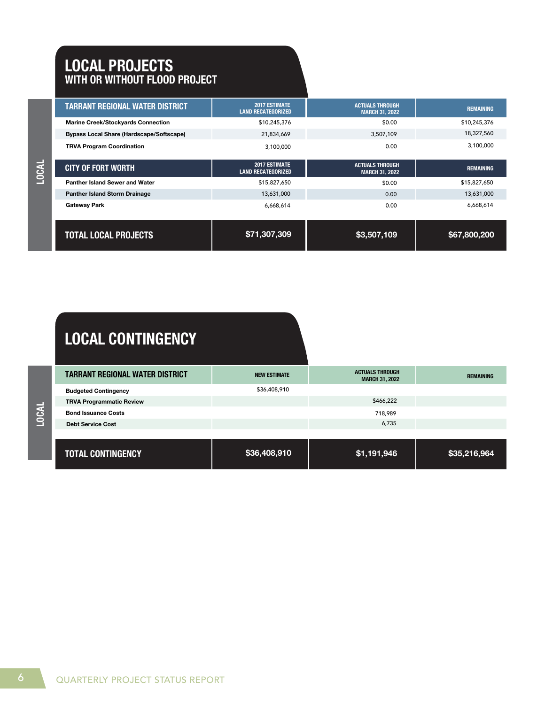#### **LOCAL PROJECTS WITH OR WITHOUT FLOOD PROJECT**

| <b>TARRANT REGIONAL WATER DISTRICT</b>          | <b>2017 ESTIMATE</b><br><b>LAND RECATEGORIZED</b> | <b>ACTUALS THROUGH</b><br><b>MARCH 31, 2022</b> | <b>REMAINING</b> |
|-------------------------------------------------|---------------------------------------------------|-------------------------------------------------|------------------|
| <b>Marine Creek/Stockyards Connection</b>       | \$10,245,376                                      | \$0.00                                          | \$10,245,376     |
| <b>Bypass Local Share (Hardscape/Softscape)</b> | 21,834,669                                        | 3,507,109                                       | 18,327,560       |
| <b>TRVA Program Coordination</b>                | 3,100,000                                         | 0.00                                            | 3,100,000        |
| <b>CITY OF FORT WORTH</b>                       | <b>2017 ESTIMATE</b><br><b>LAND RECATEGORIZED</b> | <b>ACTUALS THROUGH</b><br><b>MARCH 31, 2022</b> | <b>REMAINING</b> |
| Panther Island Sewer and Water                  | \$15,827,650                                      | \$0.00                                          | \$15,827,650     |
| <b>Panther Island Storm Drainage</b>            | 13,631,000                                        | 0.00                                            | 13,631,000       |
| <b>Gateway Park</b>                             | 6,668,614                                         | 0.00                                            | 6,668,614        |
| <b>TOTAL LOCAL PROJECTS</b>                     | \$71,307,309                                      | \$3,507,109                                     | \$67,800,200     |

# **LOCAL CONTINGENCY**

| <b>TARRANT REGIONAL WATER DISTRICT</b> | <b>NEW ESTIMATE</b> | <b>ACTUALS THROUGH</b><br><b>MARCH 31, 2022</b> | <b>REMAINING</b> |
|----------------------------------------|---------------------|-------------------------------------------------|------------------|
| <b>Budgeted Contingency</b>            | \$36,408,910        |                                                 |                  |
| <b>TRVA Programmatic Review</b>        |                     | \$466,222                                       |                  |
| <b>Bond Issuance Costs</b>             |                     | 718,989                                         |                  |
| <b>Debt Service Cost</b>               |                     | 6,735                                           |                  |
|                                        |                     |                                                 |                  |
|                                        |                     |                                                 |                  |

| <b>TOTAL CONTINGENCY</b> | \$36,408,910 | \$1,191,946 | \$35,216,964 |
|--------------------------|--------------|-------------|--------------|
|--------------------------|--------------|-------------|--------------|

**LOCAL**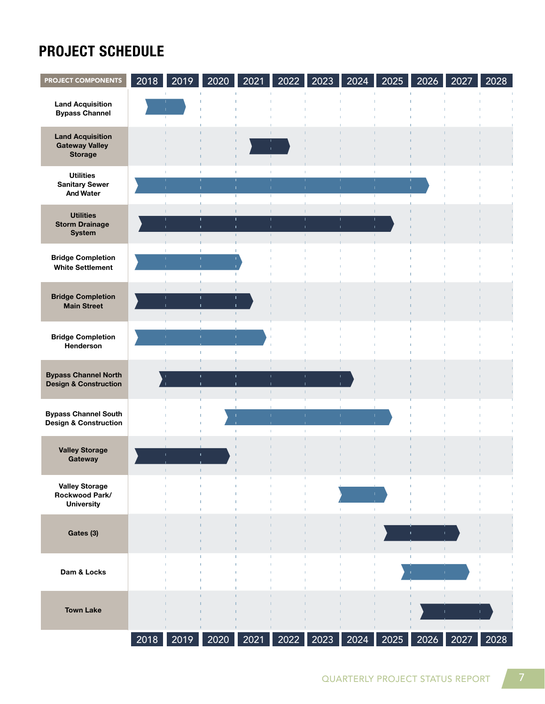## **PROJECT SCHEDULE**

| <b>PROJECT COMPONENTS</b>                                          | 2018 | 2019               | 2020                               | 2021                           | 2022                                           | 2023 | 2024                                    | 2025               | 2026      | 2027         | 2028 |
|--------------------------------------------------------------------|------|--------------------|------------------------------------|--------------------------------|------------------------------------------------|------|-----------------------------------------|--------------------|-----------|--------------|------|
| <b>Land Acquisition</b><br><b>Bypass Channel</b>                   |      | п.                 |                                    |                                |                                                |      |                                         |                    |           |              |      |
| <b>Land Acquisition</b><br><b>Gateway Valley</b><br><b>Storage</b> |      |                    |                                    |                                | T.<br>т.                                       |      |                                         |                    |           |              |      |
| <b>Utilities</b><br><b>Sanitary Sewer</b><br><b>And Water</b>      |      | J.                 | $\mathbf{I}$                       | T.<br>т.                       | T.<br>T.<br>T.                                 |      | $\mathbf{L}$                            | $\mathbf{L}$<br>т. | ī.<br>л.  |              |      |
| <b>Utilities</b><br><b>Storm Drainage</b><br><b>System</b>         |      | $\mathbf{r}$<br>J. | $\mathbf{I}$<br>$\mathbb{L}$       | T.<br>I.<br>Ť.<br>$\Gamma$     | T.<br>т<br>T.<br>$\mathbf{I}$<br>$\Gamma$      |      | ×<br>п<br>$\mathbf{L}$<br>ı<br>$\Gamma$ | т.                 |           |              |      |
| <b>Bridge Completion</b><br><b>White Settlement</b>                |      | л<br>T.<br>×.      | т.<br>$\bullet$                    | T.                             |                                                |      |                                         |                    |           |              |      |
| <b>Bridge Completion</b><br><b>Main Street</b>                     |      | T.<br>I.<br>T.     | T.<br>$\mathbf{I}$<br>$\mathbb{L}$ | T.<br>$\mathbf{I}$<br>$\Gamma$ |                                                |      |                                         |                    |           |              |      |
| <b>Bridge Completion</b><br>Henderson                              |      |                    | $\mathbf{L}$                       | T.                             |                                                |      |                                         |                    |           |              |      |
| <b>Bypass Channel North</b><br><b>Design &amp; Construction</b>    |      | I.                 | $\mathbf{I}$<br>п                  | T.<br>$\mathbf{L}$<br>T.       | T.<br>$\mathbf{I}$<br>Ť.<br>$\mathbf{I}$<br>T. |      | $\mathbf{L}$                            |                    |           |              |      |
| <b>Bypass Channel South</b><br><b>Design &amp; Construction</b>    |      |                    |                                    |                                | T.                                             |      | л.<br>$\mathbf{L}$                      |                    |           |              |      |
| <b>Valley Storage</b><br>Gateway                                   |      |                    | $\mathbf{I}$                       |                                |                                                |      |                                         |                    |           |              |      |
| <b>Valley Storage</b><br>Rockwood Park/<br><b>University</b>       |      |                    |                                    |                                |                                                |      | ٠                                       |                    |           | т            |      |
| Gates (3)                                                          |      |                    |                                    |                                |                                                |      |                                         |                    | T.<br>I.  | T.           |      |
| Dam & Locks                                                        |      |                    |                                    |                                |                                                |      |                                         |                    | T.        | T.<br>T.     |      |
| <b>Town Lake</b>                                                   |      |                    |                                    |                                |                                                |      |                                         |                    |           | $\mathbf{L}$ | T.   |
|                                                                    |      | 2018 2019          | 2020                               | 2021                           |                                                |      | 2022 2023 2024                          |                    | 2025 2026 | 2027         | 2028 |